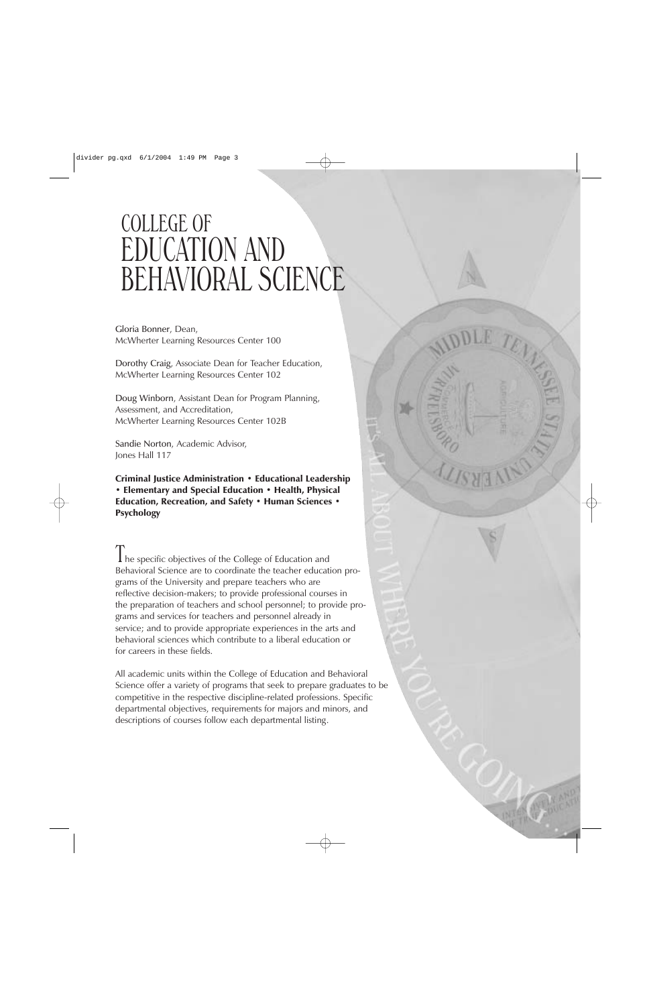# COLLEGE OF EDUCATION AND BEHAVIORAL SCIENCE

Gloria Bonner, Dean, McWherter Learning Resources Center 100

Dorothy Craig, Associate Dean for Teacher Education, McWherter Learning Resources Center 102

Doug Winborn, Assistant Dean for Program Planning, Assessment, and Accreditation, McWherter Learning Resources Center 102B

Sandie Norton, Academic Advisor, Jones Hall 117

Criminal Justice Administration • Educational Leadership • Elementary and Special Education • Health, Physical Education, Recreation, and Safety · Human Sciences · Psychology

I he specific objectives of the College of Education and Behavioral Science are to coordinate the teacher education programs of the University and prepare teachers who are reflective decision-makers; to provide professional courses in the preparation of teachers and school personnel; to provide programs and services for teachers and personnel already in service; and to provide appropriate experiences in the arts and behavioral sciences which contribute to a liberal education or for careers in these fields.

All academic units within the College of Education and Behavioral Science offer a variety of programs that seek to prepare graduates to be competitive in the respective discipline-related professions. Specific departmental objectives, requirements for majors and minors, and descriptions of courses follow each departmental listing.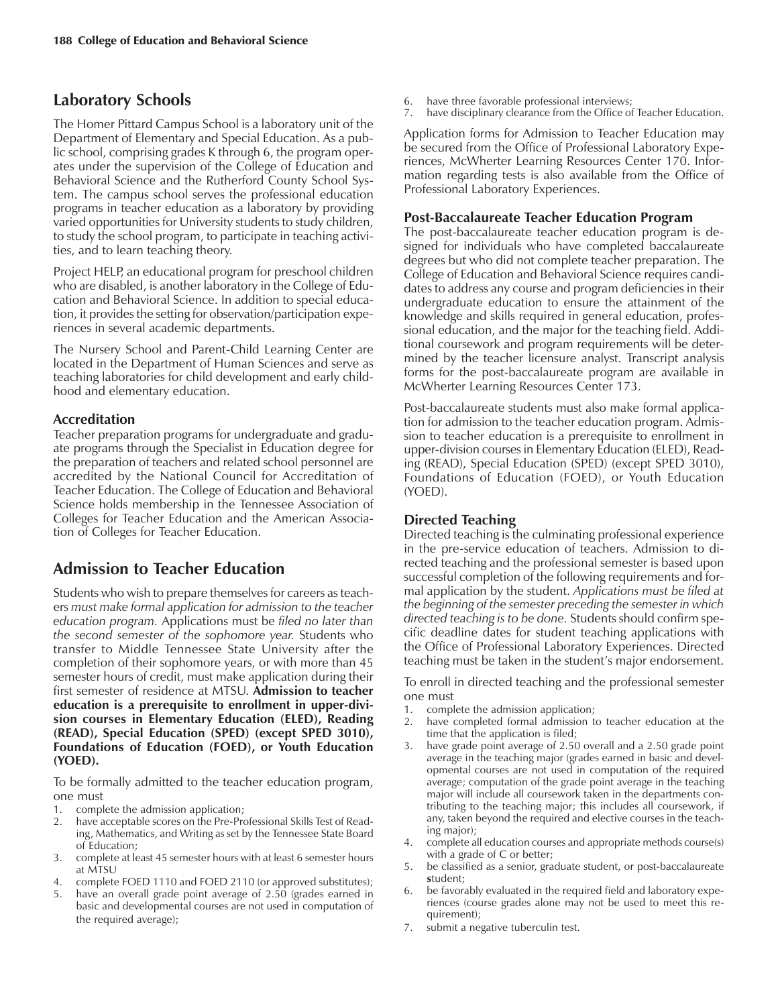# **Laboratory Schools**

The Homer Pittard Campus School is a laboratory unit of the Department of Elementary and Special Education. As a public school, comprising grades K through 6, the program operates under the supervision of the College of Education and Behavioral Science and the Rutherford County School System. The campus school serves the professional education programs in teacher education as a laboratory by providing varied opportunities for University students to study children, to study the school program, to participate in teaching activities, and to learn teaching theory.

Project HELP, an educational program for preschool children who are disabled, is another laboratory in the College of Education and Behavioral Science. In addition to special education, it provides the setting for observation/participation experiences in several academic departments.

The Nursery School and Parent-Child Learning Center are located in the Department of Human Sciences and serve as teaching laboratories for child development and early childhood and elementary education.

# **Accreditation**

Teacher preparation programs for undergraduate and graduate programs through the Specialist in Education degree for the preparation of teachers and related school personnel are accredited by the National Council for Accreditation of Teacher Education. The College of Education and Behavioral Science holds membership in the Tennessee Association of Colleges for Teacher Education and the American Association of Colleges for Teacher Education.

# **Admission to Teacher Education**

Students who wish to prepare themselves for careers as teachers *must make formal application for admission to the teacher education program.* Applications must be *filed no later than the second semester of the sophomore year.* Students who transfer to Middle Tennessee State University after the completion of their sophomore years, or with more than 45 semester hours of credit, must make application during their first semester of residence at MTSU. **Admission to teacher education is a prerequisite to enrollment in upper-division courses in Elementary Education (ELED), Reading (READ), Special Education (SPED) (except SPED 3010), Foundations of Education (FOED), or Youth Education (YOED).**

To be formally admitted to the teacher education program, one must

- 1. complete the admission application;
- 2. have acceptable scores on the Pre-Professional Skills Test of Reading, Mathematics, and Writing as set by the Tennessee State Board of Education;
- 3. complete at least 45 semester hours with at least 6 semester hours at MTSU
- 4. complete FOED 1110 and FOED 2110 (or approved substitutes);
- 5. have an overall grade point average of 2.50 (grades earned in basic and developmental courses are not used in computation of the required average);
- 6. have three favorable professional interviews;
- 7. have disciplinary clearance from the Office of Teacher Education.

Application forms for Admission to Teacher Education may be secured from the Office of Professional Laboratory Experiences, McWherter Learning Resources Center 170. Information regarding tests is also available from the Office of Professional Laboratory Experiences.

## **Post-Baccalaureate Teacher Education Program**

The post-baccalaureate teacher education program is designed for individuals who have completed baccalaureate degrees but who did not complete teacher preparation. The College of Education and Behavioral Science requires candidates to address any course and program deficiencies in their undergraduate education to ensure the attainment of the knowledge and skills required in general education, professional education, and the major for the teaching field. Additional coursework and program requirements will be determined by the teacher licensure analyst. Transcript analysis forms for the post-baccalaureate program are available in McWherter Learning Resources Center 173.

Post-baccalaureate students must also make formal application for admission to the teacher education program. Admission to teacher education is a prerequisite to enrollment in upper-division courses in Elementary Education (ELED), Reading (READ), Special Education (SPED) (except SPED 3010), Foundations of Education (FOED), or Youth Education (YOED).

# **Directed Teaching**

Directed teaching is the culminating professional experience in the pre-service education of teachers. Admission to directed teaching and the professional semester is based upon successful completion of the following requirements and formal application by the student. *Applications must be filed at the beginning of the semester preceding the semester in which directed teaching is to be done.* Students should confirm specific deadline dates for student teaching applications with the Office of Professional Laboratory Experiences. Directed teaching must be taken in the student's major endorsement.

To enroll in directed teaching and the professional semester one must

- 1. complete the admission application;
- 2. have completed formal admission to teacher education at the time that the application is filed;
- 3. have grade point average of 2.50 overall and a 2.50 grade point average in the teaching major (grades earned in basic and developmental courses are not used in computation of the required average; computation of the grade point average in the teaching major will include all coursework taken in the departments contributing to the teaching major; this includes all coursework, if any, taken beyond the required and elective courses in the teaching major);
- 4. complete all education courses and appropriate methods course(s) with a grade of C or better;
- 5. be classified as a senior, graduate student, or post-baccalaureate **s**tudent;
- 6. be favorably evaluated in the required field and laboratory experiences (course grades alone may not be used to meet this requirement);
- 7. submit a negative tuberculin test.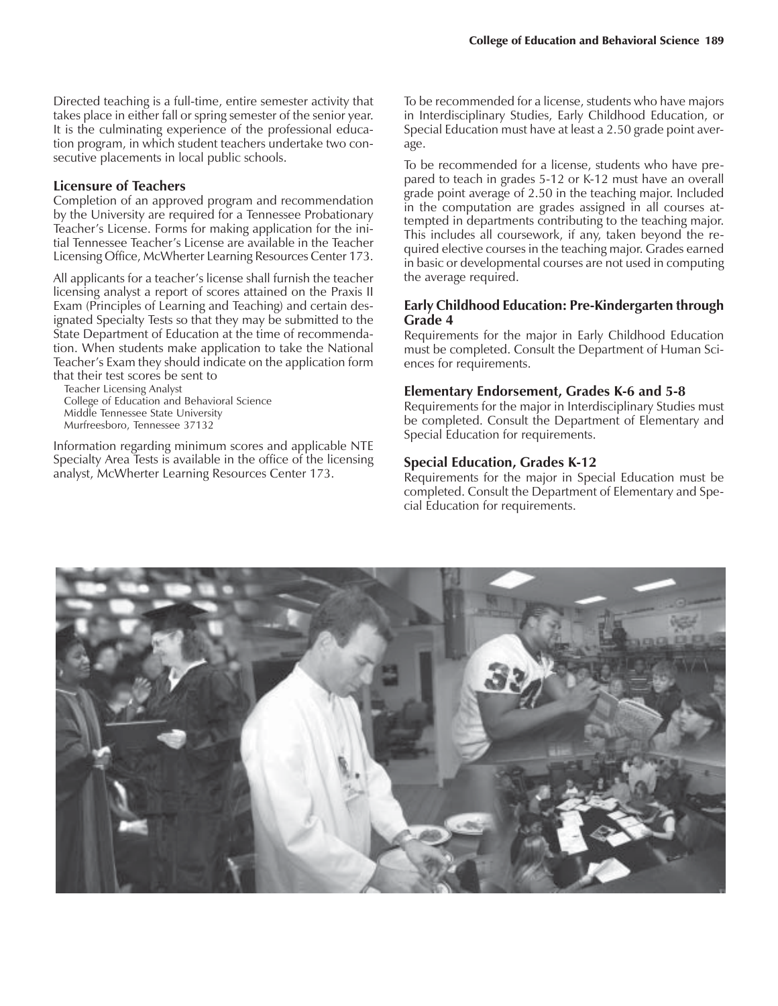Directed teaching is a full-time, entire semester activity that takes place in either fall or spring semester of the senior year. It is the culminating experience of the professional education program, in which student teachers undertake two consecutive placements in local public schools.

#### **Licensure of Teachers**

Completion of an approved program and recommendation by the University are required for a Tennessee Probationary Teacher's License. Forms for making application for the initial Tennessee Teacher's License are available in the Teacher Licensing Office, McWherter Learning Resources Center 173.

All applicants for a teacher's license shall furnish the teacher licensing analyst a report of scores attained on the Praxis II Exam (Principles of Learning and Teaching) and certain designated Specialty Tests so that they may be submitted to the State Department of Education at the time of recommendation. When students make application to take the National Teacher's Exam they should indicate on the application form that their test scores be sent to

Teacher Licensing Analyst College of Education and Behavioral Science Middle Tennessee State University Murfreesboro, Tennessee 37132

Information regarding minimum scores and applicable NTE Specialty Area Tests is available in the office of the licensing analyst, McWherter Learning Resources Center 173.

To be recommended for a license, students who have majors in Interdisciplinary Studies, Early Childhood Education, or Special Education must have at least a 2.50 grade point average.

To be recommended for a license, students who have prepared to teach in grades 5-12 or K-12 must have an overall grade point average of 2.50 in the teaching major. Included in the computation are grades assigned in all courses attempted in departments contributing to the teaching major. This includes all coursework, if any, taken beyond the required elective courses in the teaching major. Grades earned in basic or developmental courses are not used in computing the average required.

### **Early Childhood Education: Pre-Kindergarten through Grade 4**

Requirements for the major in Early Childhood Education must be completed. Consult the Department of Human Sciences for requirements.

#### **Elementary Endorsement, Grades K-6 and 5-8**

Requirements for the major in Interdisciplinary Studies must be completed. Consult the Department of Elementary and Special Education for requirements.

#### **Special Education, Grades K-12**

Requirements for the major in Special Education must be completed. Consult the Department of Elementary and Special Education for requirements.